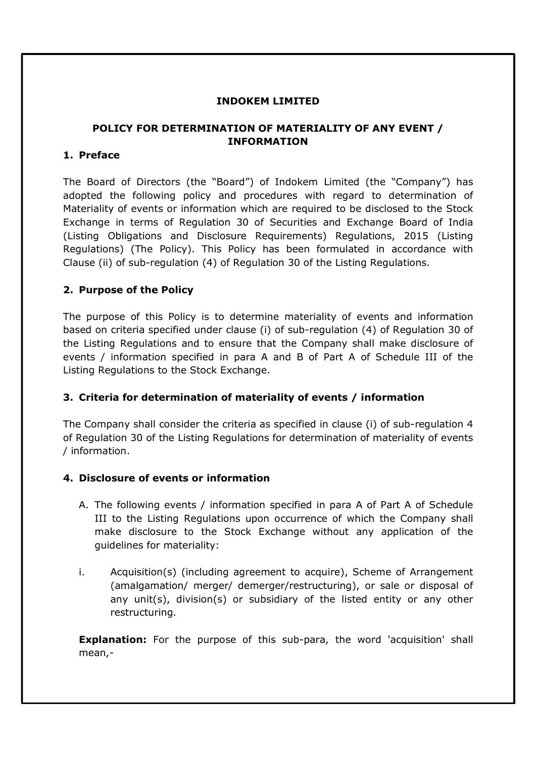#### INDOKEM LIMITED

# POLICY FOR DETERMINATION OF MATERIALITY OF ANY EVENT / INFORMATION

#### 1. Preface

The Board of Directors (the "Board") of Indokem Limited (the "Company") has adopted the following policy and procedures with regard to determination of Materiality of events or information which are required to be disclosed to the Stock Exchange in terms of Regulation 30 of Securities and Exchange Board of India (Listing Obligations and Disclosure Requirements) Regulations, 2015 (Listing Regulations) (The Policy). This Policy has been formulated in accordance with Clause (ii) of sub-regulation (4) of Regulation 30 of the Listing Regulations.

### 2. Purpose of the Policy

The purpose of this Policy is to determine materiality of events and information based on criteria specified under clause (i) of sub-regulation (4) of Regulation 30 of the Listing Regulations and to ensure that the Company shall make disclosure of events / information specified in para A and B of Part A of Schedule III of the Listing Regulations to the Stock Exchange.

### 3. Criteria for determination of materiality of events / information

The Company shall consider the criteria as specified in clause (i) of sub-regulation 4 of Regulation 30 of the Listing Regulations for determination of materiality of events / information.

#### 4. Disclosure of events or information

- A. The following events / information specified in para A of Part A of Schedule III to the Listing Regulations upon occurrence of which the Company shall make disclosure to the Stock Exchange without any application of the guidelines for materiality:
- i. Acquisition(s) (including agreement to acquire), Scheme of Arrangement (amalgamation/ merger/ demerger/restructuring), or sale or disposal of any unit(s), division(s) or subsidiary of the listed entity or any other restructuring.

**Explanation:** For the purpose of this sub-para, the word 'acquisition' shall mean,-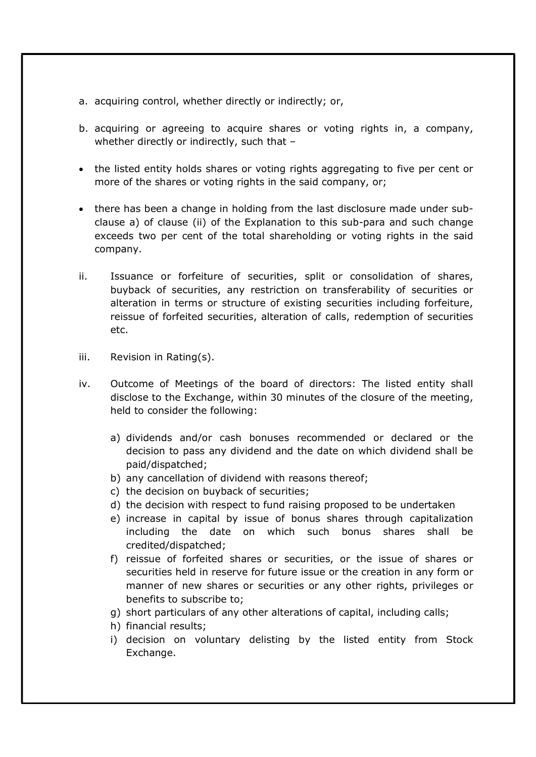- a. acquiring control, whether directly or indirectly; or,
- b. acquiring or agreeing to acquire shares or voting rights in, a company, whether directly or indirectly, such that -
- the listed entity holds shares or voting rights aggregating to five per cent or more of the shares or voting rights in the said company, or;
- there has been a change in holding from the last disclosure made under subclause a) of clause (ii) of the Explanation to this sub-para and such change exceeds two per cent of the total shareholding or voting rights in the said company.
- ii. Issuance or forfeiture of securities, split or consolidation of shares, buyback of securities, any restriction on transferability of securities or alteration in terms or structure of existing securities including forfeiture, reissue of forfeited securities, alteration of calls, redemption of securities etc.
- iii. Revision in Rating(s).
- iv. Outcome of Meetings of the board of directors: The listed entity shall disclose to the Exchange, within 30 minutes of the closure of the meeting, held to consider the following:
	- a) dividends and/or cash bonuses recommended or declared or the decision to pass any dividend and the date on which dividend shall be paid/dispatched;
	- b) any cancellation of dividend with reasons thereof;
	- c) the decision on buyback of securities;
	- d) the decision with respect to fund raising proposed to be undertaken
	- e) increase in capital by issue of bonus shares through capitalization including the date on which such bonus shares shall be credited/dispatched;
	- f) reissue of forfeited shares or securities, or the issue of shares or securities held in reserve for future issue or the creation in any form or manner of new shares or securities or any other rights, privileges or benefits to subscribe to;
	- g) short particulars of any other alterations of capital, including calls;
	- h) financial results;
	- i) decision on voluntary delisting by the listed entity from Stock Exchange.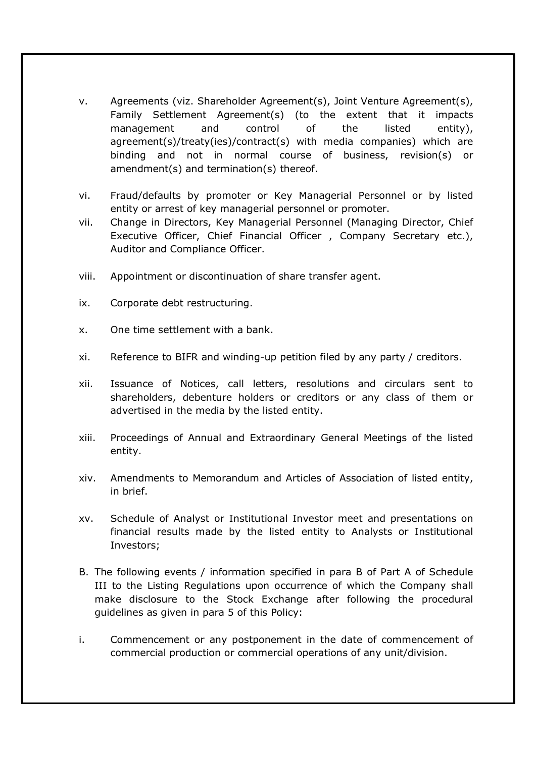- v. Agreements (viz. Shareholder Agreement(s), Joint Venture Agreement(s), Family Settlement Agreement(s) (to the extent that it impacts management and control of the listed entity), agreement(s)/treaty(ies)/contract(s) with media companies) which are binding and not in normal course of business, revision(s) or amendment(s) and termination(s) thereof.
- vi. Fraud/defaults by promoter or Key Managerial Personnel or by listed entity or arrest of key managerial personnel or promoter.
- vii. Change in Directors, Key Managerial Personnel (Managing Director, Chief Executive Officer, Chief Financial Officer , Company Secretary etc.), Auditor and Compliance Officer.
- viii. Appointment or discontinuation of share transfer agent.
- ix. Corporate debt restructuring.
- x. One time settlement with a bank.
- xi. Reference to BIFR and winding-up petition filed by any party / creditors.
- xii. Issuance of Notices, call letters, resolutions and circulars sent to shareholders, debenture holders or creditors or any class of them or advertised in the media by the listed entity.
- xiii. Proceedings of Annual and Extraordinary General Meetings of the listed entity.
- xiv. Amendments to Memorandum and Articles of Association of listed entity, in brief.
- xv. Schedule of Analyst or Institutional Investor meet and presentations on financial results made by the listed entity to Analysts or Institutional Investors;
- B. The following events / information specified in para B of Part A of Schedule III to the Listing Regulations upon occurrence of which the Company shall make disclosure to the Stock Exchange after following the procedural guidelines as given in para 5 of this Policy:
- i. Commencement or any postponement in the date of commencement of commercial production or commercial operations of any unit/division.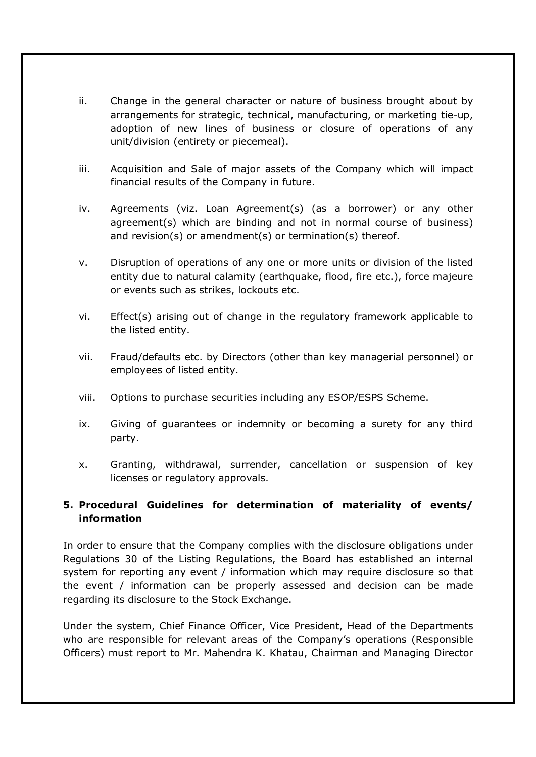- ii. Change in the general character or nature of business brought about by arrangements for strategic, technical, manufacturing, or marketing tie-up, adoption of new lines of business or closure of operations of any unit/division (entirety or piecemeal).
- iii. Acquisition and Sale of major assets of the Company which will impact financial results of the Company in future.
- iv. Agreements (viz. Loan Agreement(s) (as a borrower) or any other agreement(s) which are binding and not in normal course of business) and revision(s) or amendment(s) or termination(s) thereof.
- v. Disruption of operations of any one or more units or division of the listed entity due to natural calamity (earthquake, flood, fire etc.), force majeure or events such as strikes, lockouts etc.
- vi. Effect(s) arising out of change in the regulatory framework applicable to the listed entity.
- vii. Fraud/defaults etc. by Directors (other than key managerial personnel) or employees of listed entity.
- viii. Options to purchase securities including any ESOP/ESPS Scheme.
- ix. Giving of guarantees or indemnity or becoming a surety for any third party.
- x. Granting, withdrawal, surrender, cancellation or suspension of key licenses or regulatory approvals.

# 5. Procedural Guidelines for determination of materiality of events/ information

In order to ensure that the Company complies with the disclosure obligations under Regulations 30 of the Listing Regulations, the Board has established an internal system for reporting any event / information which may require disclosure so that the event / information can be properly assessed and decision can be made regarding its disclosure to the Stock Exchange.

Under the system, Chief Finance Officer, Vice President, Head of the Departments who are responsible for relevant areas of the Company's operations (Responsible Officers) must report to Mr. Mahendra K. Khatau, Chairman and Managing Director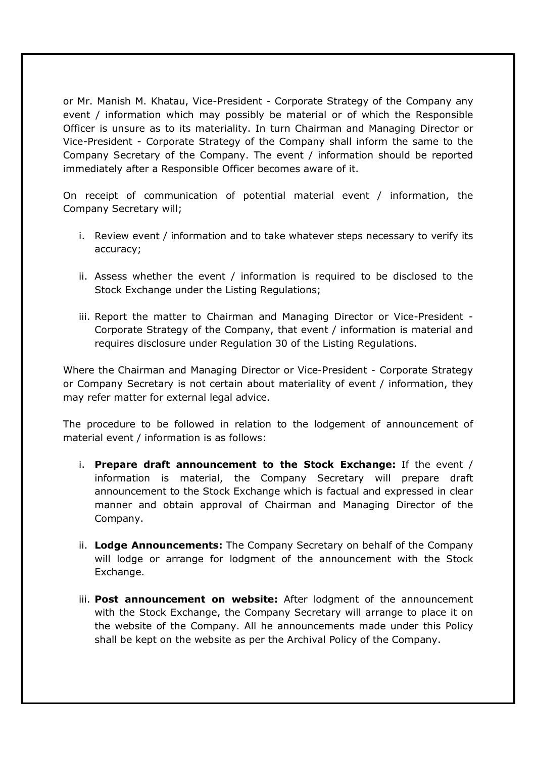or Mr. Manish M. Khatau, Vice-President - Corporate Strategy of the Company any event / information which may possibly be material or of which the Responsible Officer is unsure as to its materiality. In turn Chairman and Managing Director or Vice-President - Corporate Strategy of the Company shall inform the same to the Company Secretary of the Company. The event / information should be reported immediately after a Responsible Officer becomes aware of it.

On receipt of communication of potential material event / information, the Company Secretary will;

- i. Review event / information and to take whatever steps necessary to verify its accuracy;
- ii. Assess whether the event / information is required to be disclosed to the Stock Exchange under the Listing Regulations;
- iii. Report the matter to Chairman and Managing Director or Vice-President Corporate Strategy of the Company, that event / information is material and requires disclosure under Regulation 30 of the Listing Regulations.

Where the Chairman and Managing Director or Vice-President - Corporate Strategy or Company Secretary is not certain about materiality of event / information, they may refer matter for external legal advice.

The procedure to be followed in relation to the lodgement of announcement of material event / information is as follows:

- i. Prepare draft announcement to the Stock Exchange: If the event / information is material, the Company Secretary will prepare draft announcement to the Stock Exchange which is factual and expressed in clear manner and obtain approval of Chairman and Managing Director of the Company.
- ii. Lodge Announcements: The Company Secretary on behalf of the Company will lodge or arrange for lodgment of the announcement with the Stock Exchange.
- iii. Post announcement on website: After lodgment of the announcement with the Stock Exchange, the Company Secretary will arrange to place it on the website of the Company. All he announcements made under this Policy shall be kept on the website as per the Archival Policy of the Company.